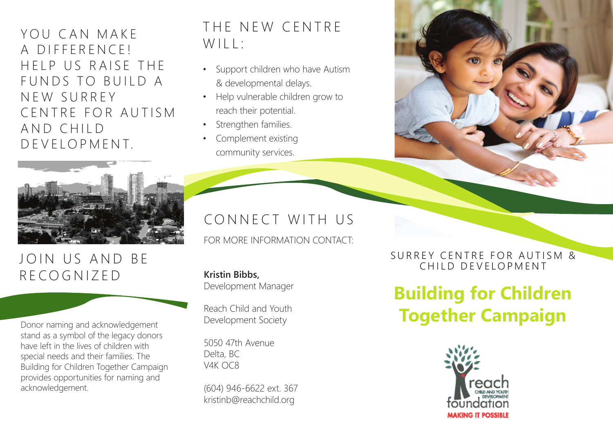YOU CAN MAKE A DIFFERENCE! H F I P US RAISE THE FUNDS TO BUILD A N E W S U R R E Y CENTRE FOR AUTISM AND CHILD DEVELOPMENT.



## JOIN US AND BE RECOGNIZED

stand as a symbol of the legacy donors have left in the lives of children with special needs and their families. The Building for Children Together Campaign provides opportunities for naming and acknowledgement.

## THE NEW CENTRE WILL:

- Support children who have Autism & developmental delays.
- Help vulnerable children grow to reach their potential.
- Strengthen families.
- Complement existing community services.

CONNECT WITH US

FOR MORE INFORMATION CONTACT:

**Kristin Bibbs,** Development Manager

Reach Child and Youth Development Society

5050 47th Avenue Delta, BC V4K OC8

(604) 946-6622 ext. 367 kristinb@reachchild.org

SURREY CENTRE FOR AUTISM & CHILD DEVELOPMENT

# **Building for Children**  Reach Child and Youth<br>Donor naming and acknowledgement<br>Development Society<br>Development Society